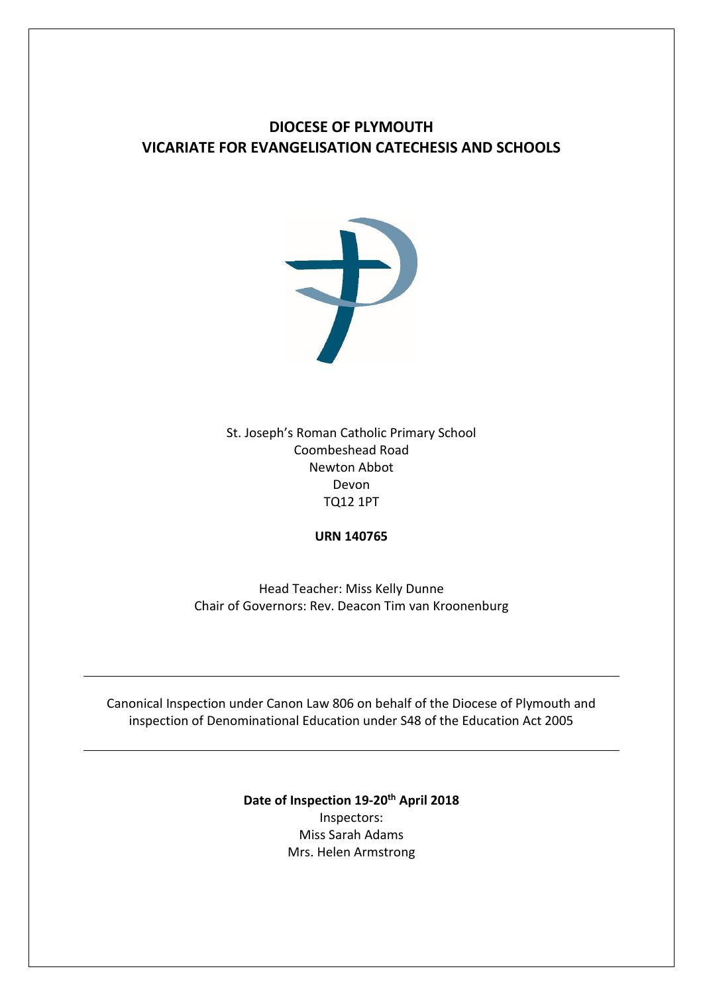# **DIOCESE OF PLYMOUTH VICARIATE FOR EVANGELISATION CATECHESIS AND SCHOOLS**



St. Joseph's Roman Catholic Primary School Coombeshead Road Newton Abbot Devon TQ12 1PT

**URN 140765**

Head Teacher: Miss Kelly Dunne Chair of Governors: Rev. Deacon Tim van Kroonenburg

Canonical Inspection under Canon Law 806 on behalf of the Diocese of Plymouth and inspection of Denominational Education under S48 of the Education Act 2005

> **Date of Inspection 19-20th April 2018** Inspectors: Miss Sarah Adams Mrs. Helen Armstrong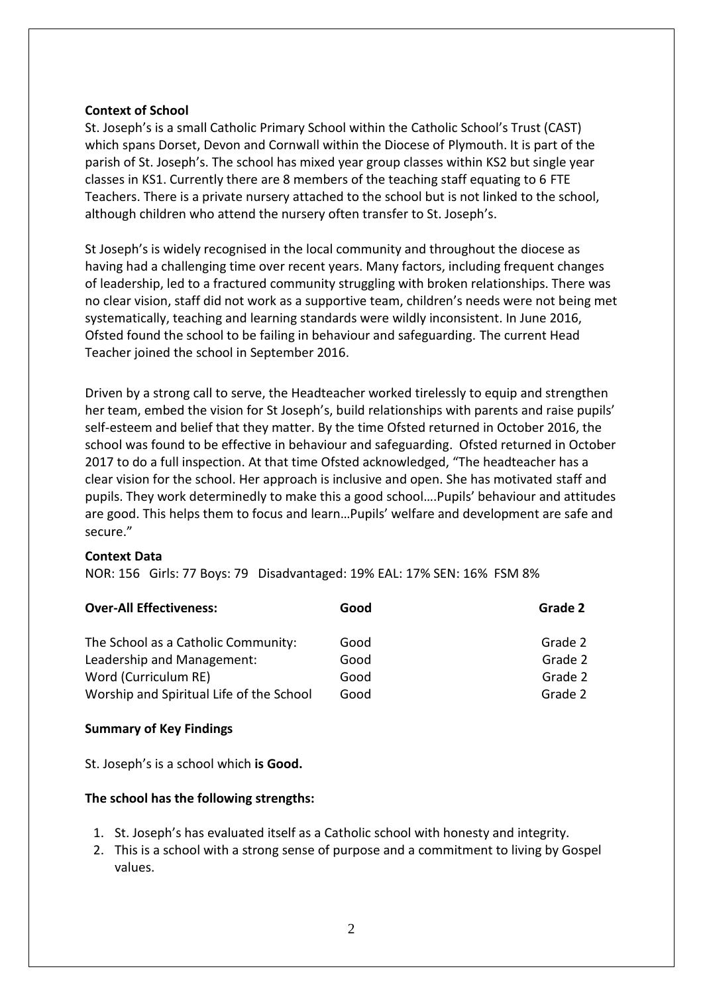#### **Context of School**

St. Joseph's is a small Catholic Primary School within the Catholic School's Trust (CAST) which spans Dorset, Devon and Cornwall within the Diocese of Plymouth. It is part of the parish of St. Joseph's. The school has mixed year group classes within KS2 but single year classes in KS1. Currently there are 8 members of the teaching staff equating to 6 FTE Teachers. There is a private nursery attached to the school but is not linked to the school, although children who attend the nursery often transfer to St. Joseph's.

St Joseph's is widely recognised in the local community and throughout the diocese as having had a challenging time over recent years. Many factors, including frequent changes of leadership, led to a fractured community struggling with broken relationships. There was no clear vision, staff did not work as a supportive team, children's needs were not being met systematically, teaching and learning standards were wildly inconsistent. In June 2016, Ofsted found the school to be failing in behaviour and safeguarding. The current Head Teacher joined the school in September 2016.

Driven by a strong call to serve, the Headteacher worked tirelessly to equip and strengthen her team, embed the vision for St Joseph's, build relationships with parents and raise pupils' self-esteem and belief that they matter. By the time Ofsted returned in October 2016, the school was found to be effective in behaviour and safeguarding. Ofsted returned in October 2017 to do a full inspection. At that time Ofsted acknowledged, "The headteacher has a clear vision for the school. Her approach is inclusive and open. She has motivated staff and pupils. They work determinedly to make this a good school….Pupils' behaviour and attitudes are good. This helps them to focus and learn…Pupils' welfare and development are safe and secure."

#### **Context Data**

NOR: 156 Girls: 77 Boys: 79 Disadvantaged: 19% EAL: 17% SEN: 16% FSM 8%

| <b>Over-All Effectiveness:</b>           | Good | Grade 2 |
|------------------------------------------|------|---------|
| The School as a Catholic Community:      | Good | Grade 2 |
| Leadership and Management:               | Good | Grade 2 |
| Word (Curriculum RE)                     | Good | Grade 2 |
| Worship and Spiritual Life of the School | Good | Grade 2 |

#### **Summary of Key Findings**

St. Joseph's is a school which **is Good.**

#### **The school has the following strengths:**

- 1. St. Joseph's has evaluated itself as a Catholic school with honesty and integrity.
- 2. This is a school with a strong sense of purpose and a commitment to living by Gospel values.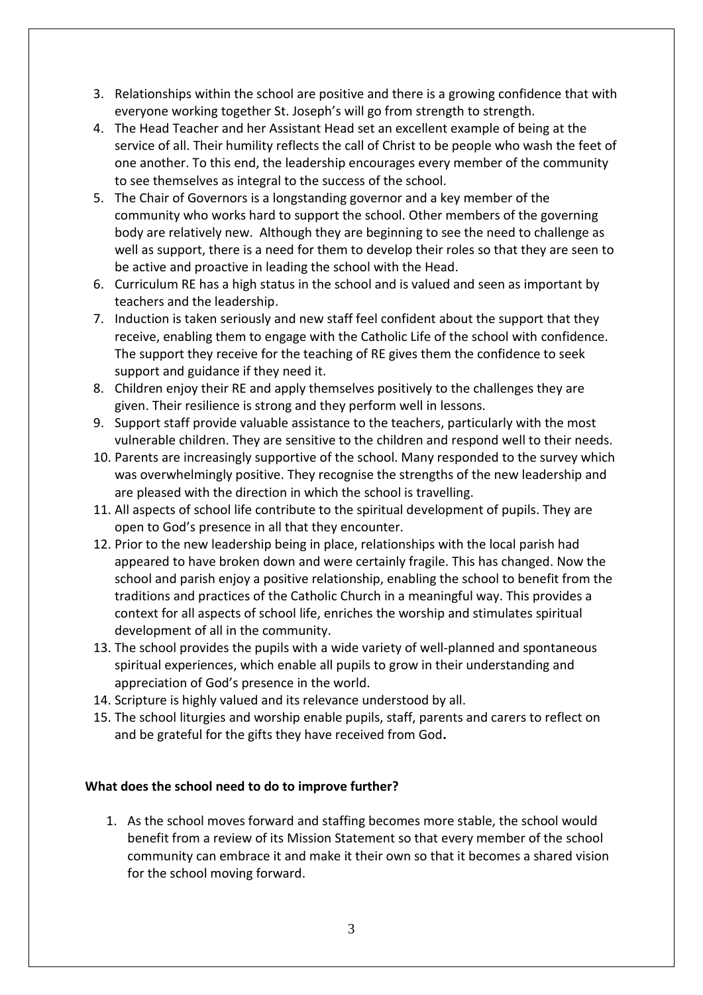- 3. Relationships within the school are positive and there is a growing confidence that with everyone working together St. Joseph's will go from strength to strength.
- 4. The Head Teacher and her Assistant Head set an excellent example of being at the service of all. Their humility reflects the call of Christ to be people who wash the feet of one another. To this end, the leadership encourages every member of the community to see themselves as integral to the success of the school.
- 5. The Chair of Governors is a longstanding governor and a key member of the community who works hard to support the school. Other members of the governing body are relatively new. Although they are beginning to see the need to challenge as well as support, there is a need for them to develop their roles so that they are seen to be active and proactive in leading the school with the Head.
- 6. Curriculum RE has a high status in the school and is valued and seen as important by teachers and the leadership.
- 7. Induction is taken seriously and new staff feel confident about the support that they receive, enabling them to engage with the Catholic Life of the school with confidence. The support they receive for the teaching of RE gives them the confidence to seek support and guidance if they need it.
- 8. Children enjoy their RE and apply themselves positively to the challenges they are given. Their resilience is strong and they perform well in lessons.
- 9. Support staff provide valuable assistance to the teachers, particularly with the most vulnerable children. They are sensitive to the children and respond well to their needs.
- 10. Parents are increasingly supportive of the school. Many responded to the survey which was overwhelmingly positive. They recognise the strengths of the new leadership and are pleased with the direction in which the school is travelling.
- 11. All aspects of school life contribute to the spiritual development of pupils. They are open to God's presence in all that they encounter.
- 12. Prior to the new leadership being in place, relationships with the local parish had appeared to have broken down and were certainly fragile. This has changed. Now the school and parish enjoy a positive relationship, enabling the school to benefit from the traditions and practices of the Catholic Church in a meaningful way. This provides a context for all aspects of school life, enriches the worship and stimulates spiritual development of all in the community.
- 13. The school provides the pupils with a wide variety of well-planned and spontaneous spiritual experiences, which enable all pupils to grow in their understanding and appreciation of God's presence in the world.
- 14. Scripture is highly valued and its relevance understood by all.
- 15. The school liturgies and worship enable pupils, staff, parents and carers to reflect on and be grateful for the gifts they have received from God**.**

# **What does the school need to do to improve further?**

1. As the school moves forward and staffing becomes more stable, the school would benefit from a review of its Mission Statement so that every member of the school community can embrace it and make it their own so that it becomes a shared vision for the school moving forward.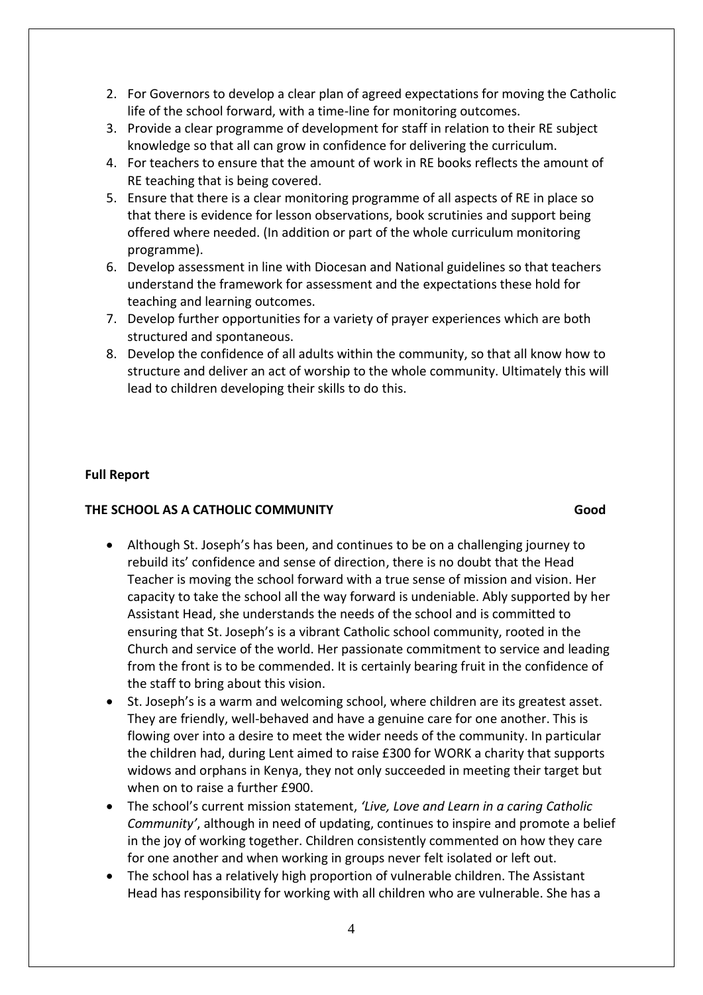- 2. For Governors to develop a clear plan of agreed expectations for moving the Catholic life of the school forward, with a time-line for monitoring outcomes.
- 3. Provide a clear programme of development for staff in relation to their RE subject knowledge so that all can grow in confidence for delivering the curriculum.
- 4. For teachers to ensure that the amount of work in RE books reflects the amount of RE teaching that is being covered.
- 5. Ensure that there is a clear monitoring programme of all aspects of RE in place so that there is evidence for lesson observations, book scrutinies and support being offered where needed. (In addition or part of the whole curriculum monitoring programme).
- 6. Develop assessment in line with Diocesan and National guidelines so that teachers understand the framework for assessment and the expectations these hold for teaching and learning outcomes.
- 7. Develop further opportunities for a variety of prayer experiences which are both structured and spontaneous.
- 8. Develop the confidence of all adults within the community, so that all know how to structure and deliver an act of worship to the whole community. Ultimately this will lead to children developing their skills to do this.

### **Full Report**

#### **THE SCHOOL AS A CATHOLIC COMMUNITY Good**

- Although St. Joseph's has been, and continues to be on a challenging journey to rebuild its' confidence and sense of direction, there is no doubt that the Head Teacher is moving the school forward with a true sense of mission and vision. Her capacity to take the school all the way forward is undeniable. Ably supported by her Assistant Head, she understands the needs of the school and is committed to ensuring that St. Joseph's is a vibrant Catholic school community, rooted in the Church and service of the world. Her passionate commitment to service and leading from the front is to be commended. It is certainly bearing fruit in the confidence of the staff to bring about this vision.
- St. Joseph's is a warm and welcoming school, where children are its greatest asset. They are friendly, well-behaved and have a genuine care for one another. This is flowing over into a desire to meet the wider needs of the community. In particular the children had, during Lent aimed to raise £300 for WORK a charity that supports widows and orphans in Kenya, they not only succeeded in meeting their target but when on to raise a further £900.
- The school's current mission statement, *'Live, Love and Learn in a caring Catholic Community'*, although in need of updating, continues to inspire and promote a belief in the joy of working together. Children consistently commented on how they care for one another and when working in groups never felt isolated or left out.
- The school has a relatively high proportion of vulnerable children. The Assistant Head has responsibility for working with all children who are vulnerable. She has a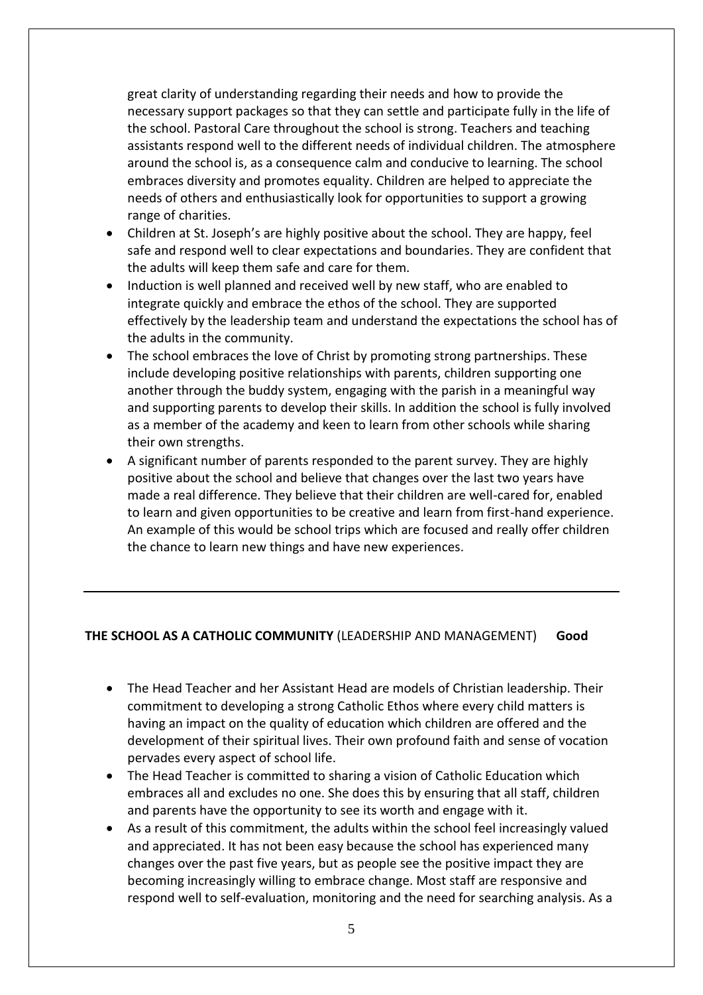great clarity of understanding regarding their needs and how to provide the necessary support packages so that they can settle and participate fully in the life of the school. Pastoral Care throughout the school is strong. Teachers and teaching assistants respond well to the different needs of individual children. The atmosphere around the school is, as a consequence calm and conducive to learning. The school embraces diversity and promotes equality. Children are helped to appreciate the needs of others and enthusiastically look for opportunities to support a growing range of charities.

- Children at St. Joseph's are highly positive about the school. They are happy, feel safe and respond well to clear expectations and boundaries. They are confident that the adults will keep them safe and care for them.
- Induction is well planned and received well by new staff, who are enabled to integrate quickly and embrace the ethos of the school. They are supported effectively by the leadership team and understand the expectations the school has of the adults in the community.
- The school embraces the love of Christ by promoting strong partnerships. These include developing positive relationships with parents, children supporting one another through the buddy system, engaging with the parish in a meaningful way and supporting parents to develop their skills. In addition the school is fully involved as a member of the academy and keen to learn from other schools while sharing their own strengths.
- A significant number of parents responded to the parent survey. They are highly positive about the school and believe that changes over the last two years have made a real difference. They believe that their children are well-cared for, enabled to learn and given opportunities to be creative and learn from first-hand experience. An example of this would be school trips which are focused and really offer children the chance to learn new things and have new experiences.

#### **THE SCHOOL AS A CATHOLIC COMMUNITY** (LEADERSHIP AND MANAGEMENT) **Good**

- The Head Teacher and her Assistant Head are models of Christian leadership. Their commitment to developing a strong Catholic Ethos where every child matters is having an impact on the quality of education which children are offered and the development of their spiritual lives. Their own profound faith and sense of vocation pervades every aspect of school life.
- The Head Teacher is committed to sharing a vision of Catholic Education which embraces all and excludes no one. She does this by ensuring that all staff, children and parents have the opportunity to see its worth and engage with it.
- As a result of this commitment, the adults within the school feel increasingly valued and appreciated. It has not been easy because the school has experienced many changes over the past five years, but as people see the positive impact they are becoming increasingly willing to embrace change. Most staff are responsive and respond well to self-evaluation, monitoring and the need for searching analysis. As a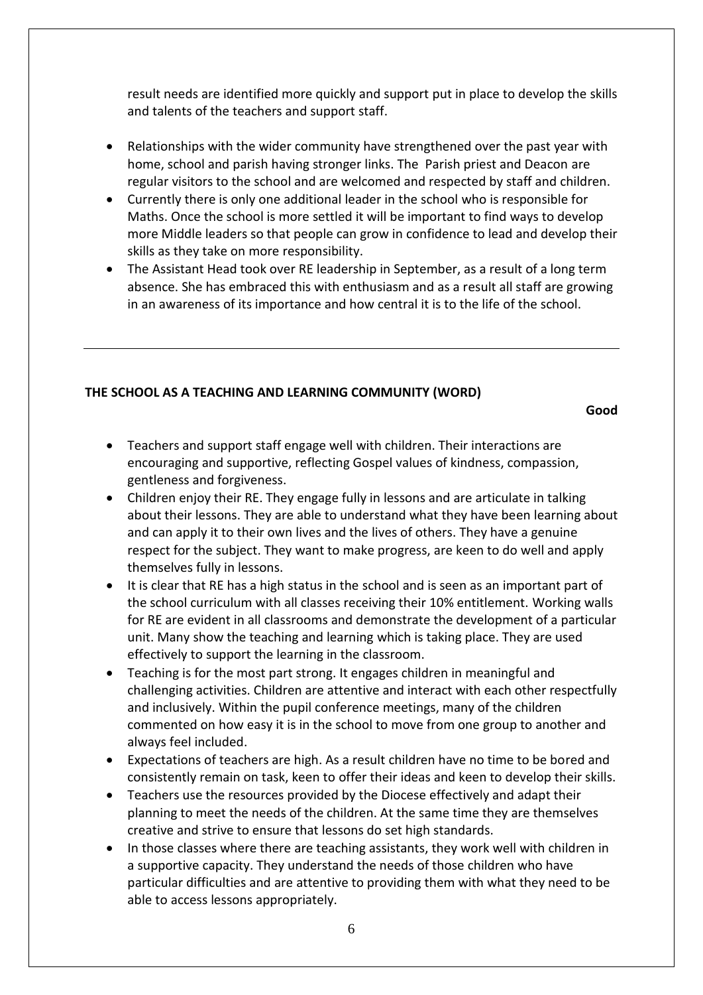result needs are identified more quickly and support put in place to develop the skills and talents of the teachers and support staff.

- Relationships with the wider community have strengthened over the past year with home, school and parish having stronger links. The Parish priest and Deacon are regular visitors to the school and are welcomed and respected by staff and children.
- Currently there is only one additional leader in the school who is responsible for Maths. Once the school is more settled it will be important to find ways to develop more Middle leaders so that people can grow in confidence to lead and develop their skills as they take on more responsibility.
- The Assistant Head took over RE leadership in September, as a result of a long term absence. She has embraced this with enthusiasm and as a result all staff are growing in an awareness of its importance and how central it is to the life of the school.

# **THE SCHOOL AS A TEACHING AND LEARNING COMMUNITY (WORD)**

**Good**

- Teachers and support staff engage well with children. Their interactions are encouraging and supportive, reflecting Gospel values of kindness, compassion, gentleness and forgiveness.
- Children enjoy their RE. They engage fully in lessons and are articulate in talking about their lessons. They are able to understand what they have been learning about and can apply it to their own lives and the lives of others. They have a genuine respect for the subject. They want to make progress, are keen to do well and apply themselves fully in lessons.
- It is clear that RE has a high status in the school and is seen as an important part of the school curriculum with all classes receiving their 10% entitlement. Working walls for RE are evident in all classrooms and demonstrate the development of a particular unit. Many show the teaching and learning which is taking place. They are used effectively to support the learning in the classroom.
- Teaching is for the most part strong. It engages children in meaningful and challenging activities. Children are attentive and interact with each other respectfully and inclusively. Within the pupil conference meetings, many of the children commented on how easy it is in the school to move from one group to another and always feel included.
- Expectations of teachers are high. As a result children have no time to be bored and consistently remain on task, keen to offer their ideas and keen to develop their skills.
- Teachers use the resources provided by the Diocese effectively and adapt their planning to meet the needs of the children. At the same time they are themselves creative and strive to ensure that lessons do set high standards.
- In those classes where there are teaching assistants, they work well with children in a supportive capacity. They understand the needs of those children who have particular difficulties and are attentive to providing them with what they need to be able to access lessons appropriately.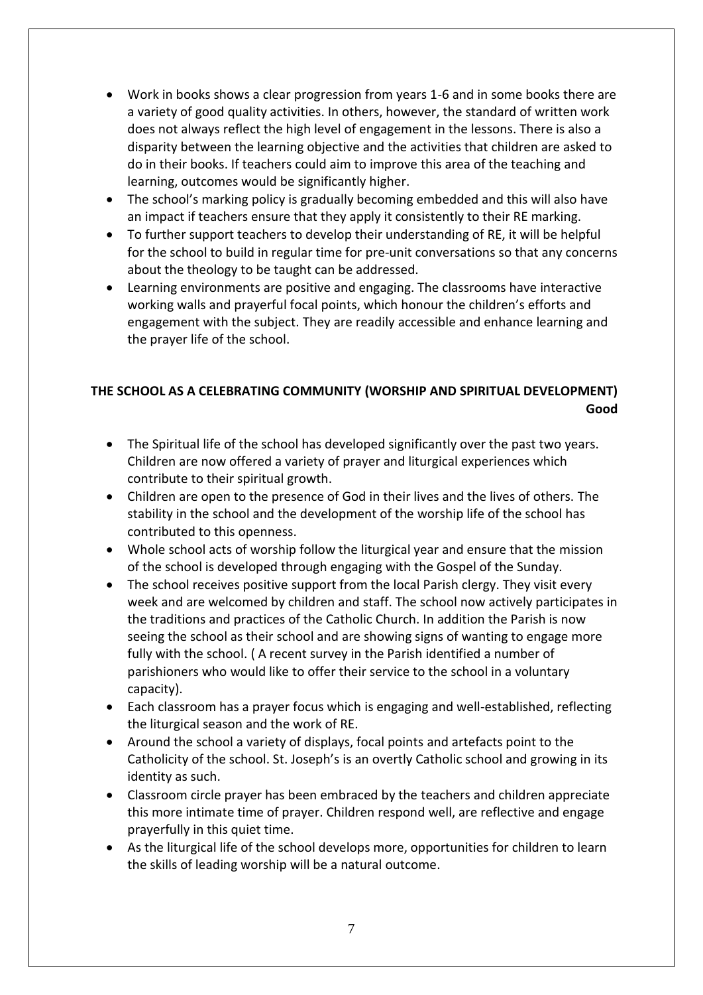- Work in books shows a clear progression from years 1-6 and in some books there are a variety of good quality activities. In others, however, the standard of written work does not always reflect the high level of engagement in the lessons. There is also a disparity between the learning objective and the activities that children are asked to do in their books. If teachers could aim to improve this area of the teaching and learning, outcomes would be significantly higher.
- The school's marking policy is gradually becoming embedded and this will also have an impact if teachers ensure that they apply it consistently to their RE marking.
- To further support teachers to develop their understanding of RE, it will be helpful for the school to build in regular time for pre-unit conversations so that any concerns about the theology to be taught can be addressed.
- Learning environments are positive and engaging. The classrooms have interactive working walls and prayerful focal points, which honour the children's efforts and engagement with the subject. They are readily accessible and enhance learning and the prayer life of the school.

# **THE SCHOOL AS A CELEBRATING COMMUNITY (WORSHIP AND SPIRITUAL DEVELOPMENT) Good**

- The Spiritual life of the school has developed significantly over the past two years. Children are now offered a variety of prayer and liturgical experiences which contribute to their spiritual growth.
- Children are open to the presence of God in their lives and the lives of others. The stability in the school and the development of the worship life of the school has contributed to this openness.
- Whole school acts of worship follow the liturgical year and ensure that the mission of the school is developed through engaging with the Gospel of the Sunday.
- The school receives positive support from the local Parish clergy. They visit every week and are welcomed by children and staff. The school now actively participates in the traditions and practices of the Catholic Church. In addition the Parish is now seeing the school as their school and are showing signs of wanting to engage more fully with the school. ( A recent survey in the Parish identified a number of parishioners who would like to offer their service to the school in a voluntary capacity).
- Each classroom has a prayer focus which is engaging and well-established, reflecting the liturgical season and the work of RE.
- Around the school a variety of displays, focal points and artefacts point to the Catholicity of the school. St. Joseph's is an overtly Catholic school and growing in its identity as such.
- Classroom circle prayer has been embraced by the teachers and children appreciate this more intimate time of prayer. Children respond well, are reflective and engage prayerfully in this quiet time.
- As the liturgical life of the school develops more, opportunities for children to learn the skills of leading worship will be a natural outcome.